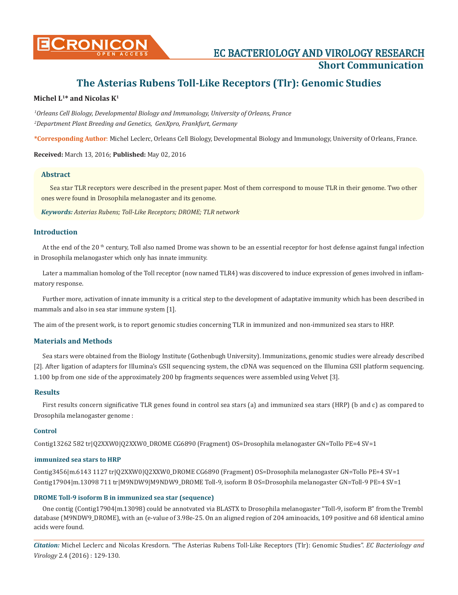

**CONICON EC BACTERIOLOGY AND VIROLOGY RESEARCH Short Communication**

# **The Asterias Rubens Toll-Like Receptors (Tlr): Genomic Studies**

# **Michel L1\* and Nicolas K1**

*1 Orleans Cell Biology, Developmental Biology and Immunology, University of Orleans, France 2 Department Plant Breeding and Genetics, GenXpro, Frankfurt, Germany*

**\*Corresponding Author**: Michel Leclerc, Orleans Cell Biology, Developmental Biology and Immunology, University of Orleans, France.

**Received:** March 13, 2016; **Published:** May 02, 2016

#### **Abstract**

Sea star TLR receptors were described in the present paper. Most of them correspond to mouse TLR in their genome. Two other ones were found in Drosophila melanogaster and its genome.

*Keywords: Asterias Rubens; Toll-Like Receptors; DROME; TLR network*

#### **Introduction**

At the end of the 20<sup>th</sup> century, Toll also named Drome was shown to be an essential receptor for host defense against fungal infection in Drosophila melanogaster which only has innate immunity.

Later a mammalian homolog of the Toll receptor (now named TLR4) was discovered to induce expression of genes involved in inflammatory response.

Further more, activation of innate immunity is a critical step to the development of adaptative immunity which has been described in mammals and also in sea star immune system [1].

The aim of the present work, is to report genomic studies concerning TLR in immunized and non-immunized sea stars to HRP.

## **Materials and Methods**

Sea stars were obtained from the Biology Institute (Gothenbugh University). Immunizations, genomic studies were already described [2]. After ligation of adapters for Illumina's GSII sequencing system, the cDNA was sequenced on the Illumina GSII platform sequencing. 1.100 bp from one side of the approximately 200 bp fragments sequences were assembled using Velvet [3].

#### **Results**

First results concern significative TLR genes found in control sea stars (a) and immunized sea stars (HRP) (b and c) as compared to Drosophila melanogaster genome :

#### **Control**

Contig13262 582 tr|Q2XXW0|Q2XXW0\_DROME CG6890 (Fragment) OS=Drosophila melanogaster GN=Tollo PE=4 SV=1

#### **immunized sea stars to HRP**

Contig3456|m.6143 1127 tr|Q2XXW0|Q2XXW0\_DROME CG6890 (Fragment) OS=Drosophila melanogaster GN=Tollo PE=4 SV=1 Contig17904|m.13098 711 tr|M9NDW9|M9NDW9\_DROME Toll-9, isoform B OS=Drosophila melanogaster GN=Toll-9 PE=4 SV=1

### **DROME Toll-9 isoform B in immunized sea star (sequence)**

One contig (Contig17904|m.13098) could be annotvated via BLASTX to Drosophila melanogaster "Toll-9, isoform B" from the Trembl database (M9NDW9\_DROME), with an (e-value of 3.98e-25. On an aligned region of 204 aminoacids, 109 positive and 68 identical amino acids were found.

*Citation:* Michel Leclerc and Nicolas Kresdorn. "The Asterias Rubens Toll-Like Receptors (Tlr): Genomic Studies". *EC Bacteriology and Virology* 2.4 (2016) : 129-130.